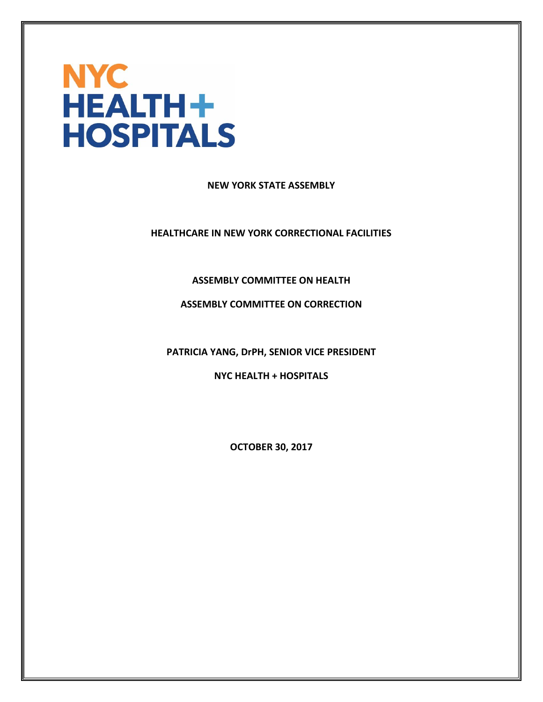

**NEW YORK STATE ASSEMBLY**

**HEALTHCARE IN NEW YORK CORRECTIONAL FACILITIES**

**ASSEMBLY COMMITTEE ON HEALTH**

**ASSEMBLY COMMITTEE ON CORRECTION**

**PATRICIA YANG, DrPH, SENIOR VICE PRESIDENT**

**NYC HEALTH + HOSPITALS**

**OCTOBER 30, 2017**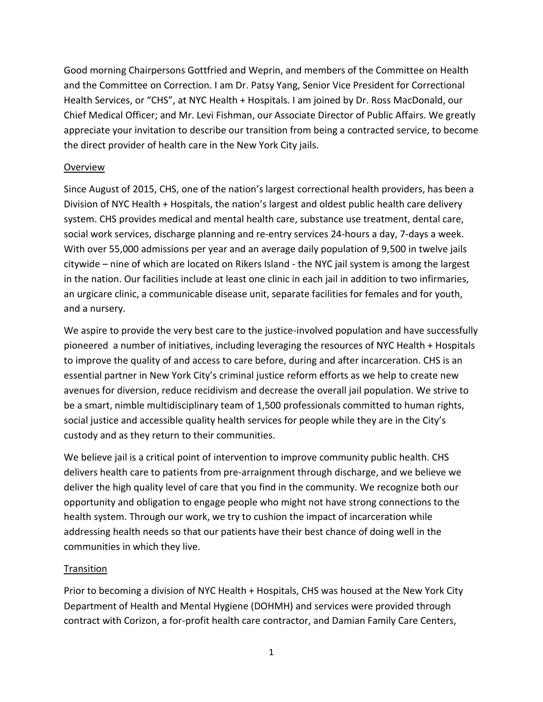Good morning Chairpersons Gottfried and Weprin, and members of the Committee on Health and the Committee on Correction. I am Dr. Patsy Yang, Senior Vice President for Correctional Health Services, or "CHS", at NYC Health + Hospitals. I am joined by Dr. Ross MacDonald, our Chief Medical Officer; and Mr. Levi Fishman, our Associate Director of Public Affairs. We greatly appreciate your invitation to describe our transition from being a contracted service, to become the direct provider of health care in the New York City jails.

# Overview

Since August of 2015, CHS, one of the nation's largest correctional health providers, has been a Division of NYC Health + Hospitals, the nation's largest and oldest public health care delivery system. CHS provides medical and mental health care, substance use treatment, dental care, social work services, discharge planning and re-entry services 24-hours a day, 7-days a week. With over 55,000 admissions per year and an average daily population of 9,500 in twelve jails citywide – nine of which are located on Rikers Island - the NYC jail system is among the largest in the nation. Our facilities include at least one clinic in each jail in addition to two infirmaries, an urgicare clinic, a communicable disease unit, separate facilities for females and for youth, and a nursery.

We aspire to provide the very best care to the justice-involved population and have successfully pioneered a number of initiatives, including leveraging the resources of NYC Health + Hospitals to improve the quality of and access to care before, during and after incarceration. CHS is an essential partner in New York City's criminal justice reform efforts as we help to create new avenues for diversion, reduce recidivism and decrease the overall jail population. We strive to be a smart, nimble multidisciplinary team of 1,500 professionals committed to human rights, social justice and accessible quality health services for people while they are in the City's custody and as they return to their communities.

We believe jail is a critical point of intervention to improve community public health. CHS delivers health care to patients from pre-arraignment through discharge, and we believe we deliver the high quality level of care that you find in the community. We recognize both our opportunity and obligation to engage people who might not have strong connections to the health system. Through our work, we try to cushion the impact of incarceration while addressing health needs so that our patients have their best chance of doing well in the communities in which they live.

## **Transition**

Prior to becoming a division of NYC Health + Hospitals, CHS was housed at the New York City Department of Health and Mental Hygiene (DOHMH) and services were provided through contract with Corizon, a for-profit health care contractor, and Damian Family Care Centers,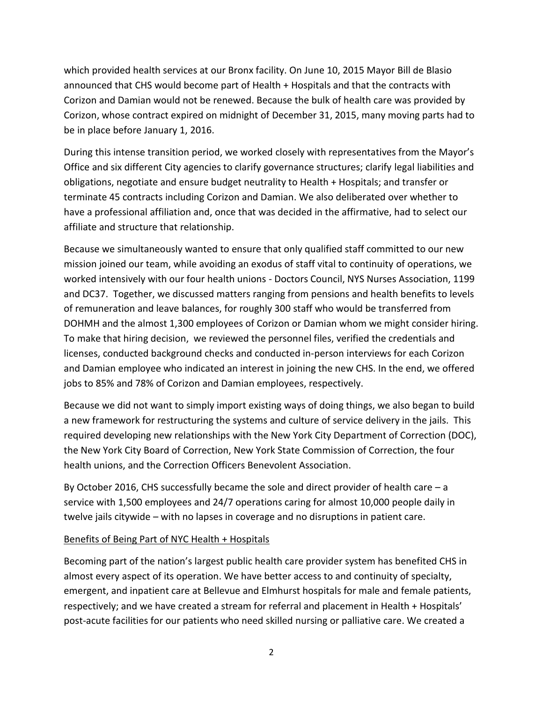which provided health services at our Bronx facility. On June 10, 2015 Mayor Bill de Blasio announced that CHS would become part of Health + Hospitals and that the contracts with Corizon and Damian would not be renewed. Because the bulk of health care was provided by Corizon, whose contract expired on midnight of December 31, 2015, many moving parts had to be in place before January 1, 2016.

During this intense transition period, we worked closely with representatives from the Mayor's Office and six different City agencies to clarify governance structures; clarify legal liabilities and obligations, negotiate and ensure budget neutrality to Health + Hospitals; and transfer or terminate 45 contracts including Corizon and Damian. We also deliberated over whether to have a professional affiliation and, once that was decided in the affirmative, had to select our affiliate and structure that relationship.

Because we simultaneously wanted to ensure that only qualified staff committed to our new mission joined our team, while avoiding an exodus of staff vital to continuity of operations, we worked intensively with our four health unions - Doctors Council, NYS Nurses Association, 1199 and DC37. Together, we discussed matters ranging from pensions and health benefits to levels of remuneration and leave balances, for roughly 300 staff who would be transferred from DOHMH and the almost 1,300 employees of Corizon or Damian whom we might consider hiring. To make that hiring decision, we reviewed the personnel files, verified the credentials and licenses, conducted background checks and conducted in-person interviews for each Corizon and Damian employee who indicated an interest in joining the new CHS. In the end, we offered jobs to 85% and 78% of Corizon and Damian employees, respectively.

Because we did not want to simply import existing ways of doing things, we also began to build a new framework for restructuring the systems and culture of service delivery in the jails. This required developing new relationships with the New York City Department of Correction (DOC), the New York City Board of Correction, New York State Commission of Correction, the four health unions, and the Correction Officers Benevolent Association.

By October 2016, CHS successfully became the sole and direct provider of health care  $-$  a service with 1,500 employees and 24/7 operations caring for almost 10,000 people daily in twelve jails citywide – with no lapses in coverage and no disruptions in patient care.

## Benefits of Being Part of NYC Health + Hospitals

Becoming part of the nation's largest public health care provider system has benefited CHS in almost every aspect of its operation. We have better access to and continuity of specialty, emergent, and inpatient care at Bellevue and Elmhurst hospitals for male and female patients, respectively; and we have created a stream for referral and placement in Health + Hospitals' post-acute facilities for our patients who need skilled nursing or palliative care. We created a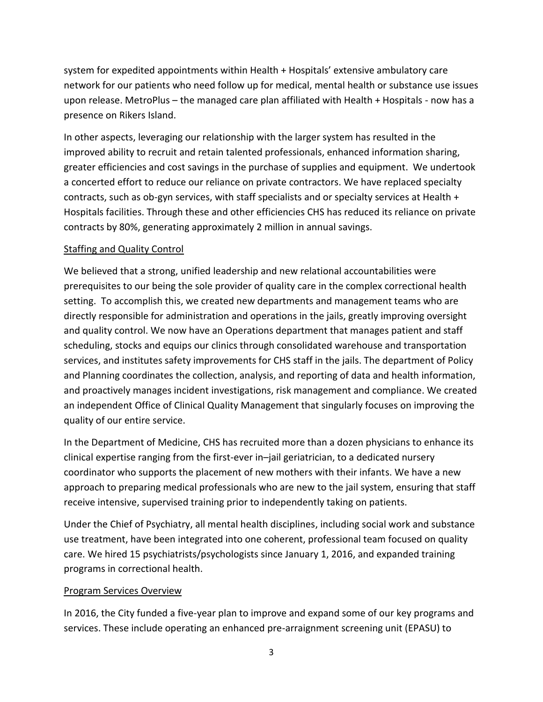system for expedited appointments within Health + Hospitals' extensive ambulatory care network for our patients who need follow up for medical, mental health or substance use issues upon release. MetroPlus – the managed care plan affiliated with Health + Hospitals - now has a presence on Rikers Island.

In other aspects, leveraging our relationship with the larger system has resulted in the improved ability to recruit and retain talented professionals, enhanced information sharing, greater efficiencies and cost savings in the purchase of supplies and equipment. We undertook a concerted effort to reduce our reliance on private contractors. We have replaced specialty contracts, such as ob-gyn services, with staff specialists and or specialty services at Health + Hospitals facilities. Through these and other efficiencies CHS has reduced its reliance on private contracts by 80%, generating approximately 2 million in annual savings.

# Staffing and Quality Control

We believed that a strong, unified leadership and new relational accountabilities were prerequisites to our being the sole provider of quality care in the complex correctional health setting. To accomplish this, we created new departments and management teams who are directly responsible for administration and operations in the jails, greatly improving oversight and quality control. We now have an Operations department that manages patient and staff scheduling, stocks and equips our clinics through consolidated warehouse and transportation services, and institutes safety improvements for CHS staff in the jails. The department of Policy and Planning coordinates the collection, analysis, and reporting of data and health information, and proactively manages incident investigations, risk management and compliance. We created an independent Office of Clinical Quality Management that singularly focuses on improving the quality of our entire service.

In the Department of Medicine, CHS has recruited more than a dozen physicians to enhance its clinical expertise ranging from the first-ever in–jail geriatrician, to a dedicated nursery coordinator who supports the placement of new mothers with their infants. We have a new approach to preparing medical professionals who are new to the jail system, ensuring that staff receive intensive, supervised training prior to independently taking on patients.

Under the Chief of Psychiatry, all mental health disciplines, including social work and substance use treatment, have been integrated into one coherent, professional team focused on quality care. We hired 15 psychiatrists/psychologists since January 1, 2016, and expanded training programs in correctional health.

## Program Services Overview

In 2016, the City funded a five-year plan to improve and expand some of our key programs and services. These include operating an enhanced pre-arraignment screening unit (EPASU) to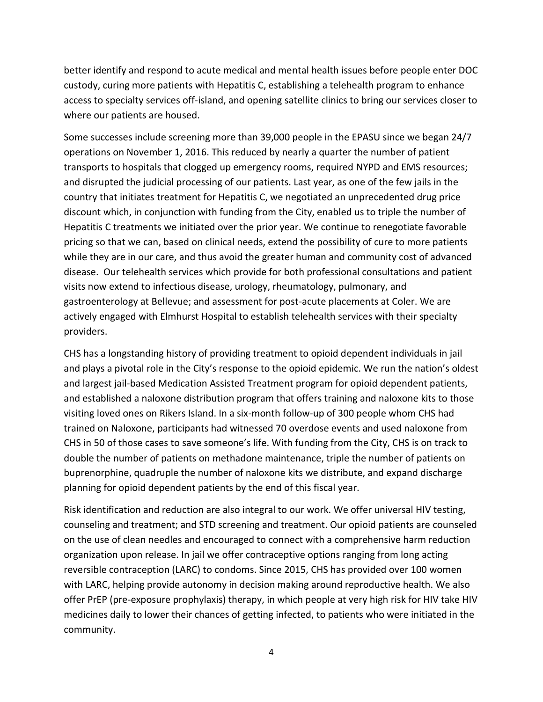better identify and respond to acute medical and mental health issues before people enter DOC custody, curing more patients with Hepatitis C, establishing a telehealth program to enhance access to specialty services off-island, and opening satellite clinics to bring our services closer to where our patients are housed.

Some successes include screening more than 39,000 people in the EPASU since we began 24/7 operations on November 1, 2016. This reduced by nearly a quarter the number of patient transports to hospitals that clogged up emergency rooms, required NYPD and EMS resources; and disrupted the judicial processing of our patients. Last year, as one of the few jails in the country that initiates treatment for Hepatitis C, we negotiated an unprecedented drug price discount which, in conjunction with funding from the City, enabled us to triple the number of Hepatitis C treatments we initiated over the prior year. We continue to renegotiate favorable pricing so that we can, based on clinical needs, extend the possibility of cure to more patients while they are in our care, and thus avoid the greater human and community cost of advanced disease. Our telehealth services which provide for both professional consultations and patient visits now extend to infectious disease, urology, rheumatology, pulmonary, and gastroenterology at Bellevue; and assessment for post-acute placements at Coler. We are actively engaged with Elmhurst Hospital to establish telehealth services with their specialty providers.

CHS has a longstanding history of providing treatment to opioid dependent individuals in jail and plays a pivotal role in the City's response to the opioid epidemic. We run the nation's oldest and largest jail-based Medication Assisted Treatment program for opioid dependent patients, and established a naloxone distribution program that offers training and naloxone kits to those visiting loved ones on Rikers Island. In a six-month follow-up of 300 people whom CHS had trained on Naloxone, participants had witnessed 70 overdose events and used naloxone from CHS in 50 of those cases to save someone's life. With funding from the City, CHS is on track to double the number of patients on methadone maintenance, triple the number of patients on buprenorphine, quadruple the number of naloxone kits we distribute, and expand discharge planning for opioid dependent patients by the end of this fiscal year.

Risk identification and reduction are also integral to our work. We offer universal HIV testing, counseling and treatment; and STD screening and treatment. Our opioid patients are counseled on the use of clean needles and encouraged to connect with a comprehensive harm reduction organization upon release. In jail we offer contraceptive options ranging from long acting reversible contraception (LARC) to condoms. Since 2015, CHS has provided over 100 women with LARC, helping provide autonomy in decision making around reproductive health. We also offer PrEP (pre-exposure prophylaxis) therapy, in which people at very high risk for HIV take HIV medicines daily to lower their chances of getting infected, to patients who were initiated in the community.

4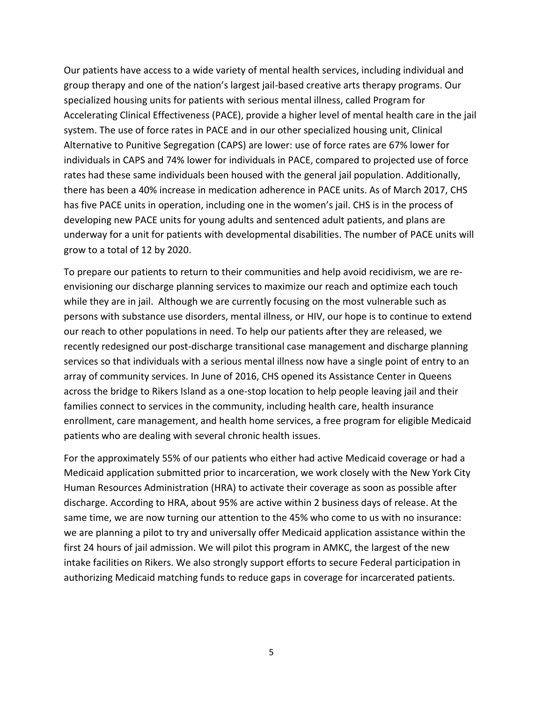Our patients have access to a wide variety of mental health services, including individual and group therapy and one of the nation's largest jail-based creative arts therapy programs. Our specialized housing units for patients with serious mental illness, called Program for Accelerating Clinical Effectiveness (PACE), provide a higher level of mental health care in the jail system. The use of force rates in PACE and in our other specialized housing unit, Clinical Alternative to Punitive Segregation (CAPS) are lower: use of force rates are 67% lower for individuals in CAPS and 74% lower for individuals in PACE, compared to projected use of force rates had these same individuals been housed with the general jail population. Additionally, there has been a 40% increase in medication adherence in PACE units. As of March 2017, CHS has five PACE units in operation, including one in the women's jail. CHS is in the process of developing new PACE units for young adults and sentenced adult patients, and plans are underway for a unit for patients with developmental disabilities. The number of PACE units will grow to a total of 12 by 2020.

To prepare our patients to return to their communities and help avoid recidivism, we are reenvisioning our discharge planning services to maximize our reach and optimize each touch while they are in jail. Although we are currently focusing on the most vulnerable such as persons with substance use disorders, mental illness, or HIV, our hope is to continue to extend our reach to other populations in need. To help our patients after they are released, we recently redesigned our post-discharge transitional case management and discharge planning services so that individuals with a serious mental illness now have a single point of entry to an array of community services. In June of 2016, CHS opened its Assistance Center in Queens across the bridge to Rikers Island as a one-stop location to help people leaving jail and their families connect to services in the community, including health care, health insurance enrollment, care management, and health home services, a free program for eligible Medicaid patients who are dealing with several chronic health issues.

For the approximately 55% of our patients who either had active Medicaid coverage or had a Medicaid application submitted prior to incarceration, we work closely with the New York City Human Resources Administration (HRA) to activate their coverage as soon as possible after discharge. According to HRA, about 95% are active within 2 business days of release. At the same time, we are now turning our attention to the 45% who come to us with no insurance: we are planning a pilot to try and universally offer Medicaid application assistance within the first 24 hours of jail admission. We will pilot this program in AMKC, the largest of the new intake facilities on Rikers. We also strongly support efforts to secure Federal participation in authorizing Medicaid matching funds to reduce gaps in coverage for incarcerated patients.